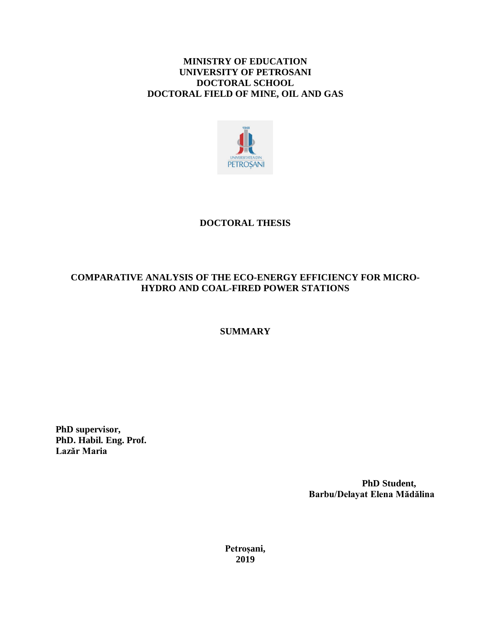### **MINISTRY OF EDUCATION UNIVERSITY OF PETROSANI DOCTORAL SCHOOL DOCTORAL FIELD OF MINE, OIL AND GAS**



## **DOCTORAL THESIS**

## **COMPARATIVE ANALYSIS OF THE ECO-ENERGY EFFICIENCY FOR MICRO-HYDRO AND COAL-FIRED POWER STATIONS**

### **SUMMARY**

**PhD supervisor, PhD. Habil. Eng. Prof. Lazăr Maria**

> **PhD Student, Barbu/Delayat Elena Mădălina**

**Petroșani, 2019**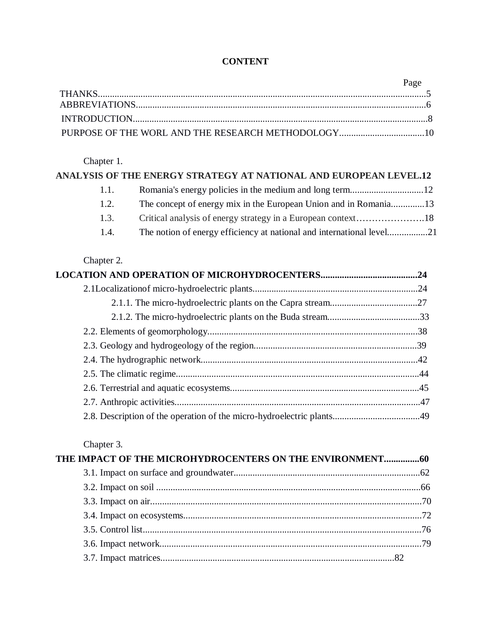## **CONTENT**

| Page |
|------|
|      |
|      |
|      |
|      |

## Chapter 1.

|      | ANALYSIS OF THE ENERGY STRATEGY AT NATIONAL AND EUROPEAN LEVEL.12 |  |
|------|-------------------------------------------------------------------|--|
|      |                                                                   |  |
| 1.2. |                                                                   |  |
| 1.3. |                                                                   |  |
| 1.4. |                                                                   |  |

## Chapter 2.

## Chapter 3.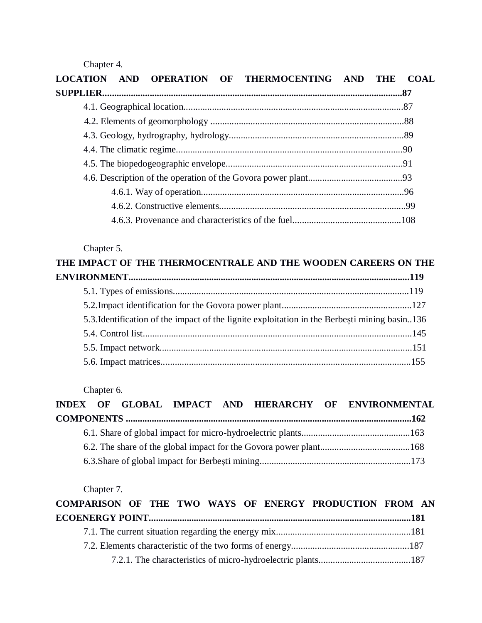Chapter 4.

| LOCATION AND OPERATION OF THERMOCENTING AND THE | COAL |
|-------------------------------------------------|------|
|                                                 |      |
|                                                 |      |
|                                                 |      |
|                                                 |      |
|                                                 |      |
|                                                 |      |
|                                                 |      |
|                                                 |      |
|                                                 |      |
|                                                 |      |

# Chapter 5.

| THE IMPACT OF THE THERMOCENTRALE AND THE WOODEN CAREERS ON THE                                |
|-----------------------------------------------------------------------------------------------|
|                                                                                               |
|                                                                                               |
|                                                                                               |
| 5.3. Identification of the impact of the lignite exploitation in the Berbești mining basin136 |
|                                                                                               |
|                                                                                               |
|                                                                                               |

Chapter 6.

|  |  |  | INDEX OF GLOBAL IMPACT AND HIERARCHY OF ENVIRONMENTAL |
|--|--|--|-------------------------------------------------------|
|  |  |  |                                                       |
|  |  |  |                                                       |
|  |  |  |                                                       |
|  |  |  |                                                       |

Chapter 7.

|  |  |  | COMPARISON OF THE TWO WAYS OF ENERGY PRODUCTION FROM AN |  |
|--|--|--|---------------------------------------------------------|--|
|  |  |  |                                                         |  |
|  |  |  |                                                         |  |
|  |  |  |                                                         |  |
|  |  |  |                                                         |  |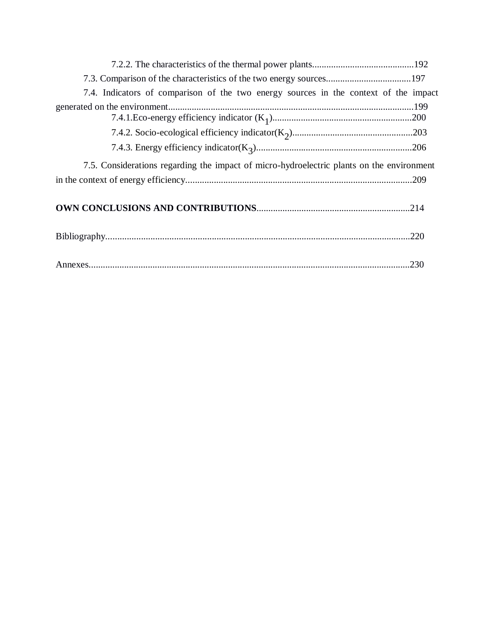| 7.3. Comparison of the characteristics of the two energy sources197                       |      |
|-------------------------------------------------------------------------------------------|------|
| 7.4. Indicators of comparison of the two energy sources in the context of the impact      |      |
|                                                                                           |      |
|                                                                                           |      |
|                                                                                           |      |
| 7.5. Considerations regarding the impact of micro-hydroelectric plants on the environment |      |
|                                                                                           |      |
|                                                                                           |      |
|                                                                                           |      |
|                                                                                           | .230 |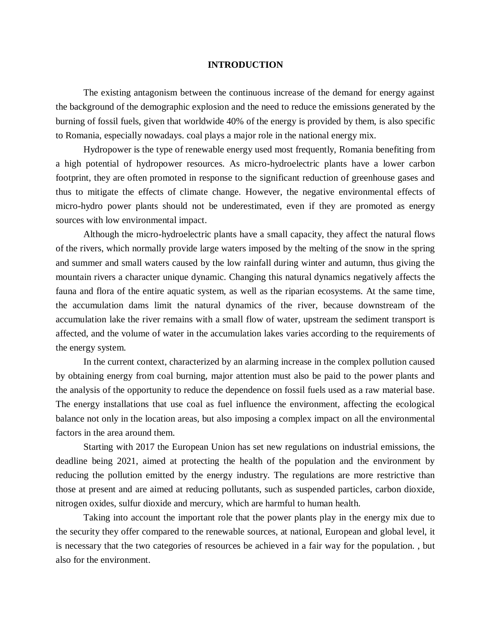#### **INTRODUCTION**

The existing antagonism between the continuous increase of the demand for energy against the background of the demographic explosion and the need to reduce the emissions generated by the burning of fossil fuels, given that worldwide 40% of the energy is provided by them, is also specific to Romania, especially nowadays. coal plays a major role in the national energy mix.

Hydropower is the type of renewable energy used most frequently, Romania benefiting from a high potential of hydropower resources. As micro-hydroelectric plants have a lower carbon footprint, they are often promoted in response to the significant reduction of greenhouse gases and thus to mitigate the effects of climate change. However, the negative environmental effects of micro-hydro power plants should not be underestimated, even if they are promoted as energy sources with low environmental impact.

Although the micro-hydroelectric plants have a small capacity, they affect the natural flows of the rivers, which normally provide large waters imposed by the melting of the snow in the spring and summer and small waters caused by the low rainfall during winter and autumn, thus giving the mountain rivers a character unique dynamic. Changing this natural dynamics negatively affects the fauna and flora of the entire aquatic system, as well as the riparian ecosystems. At the same time, the accumulation dams limit the natural dynamics of the river, because downstream of the accumulation lake the river remains with a small flow of water, upstream the sediment transport is affected, and the volume of water in the accumulation lakes varies according to the requirements of the energy system.

In the current context, characterized by an alarming increase in the complex pollution caused by obtaining energy from coal burning, major attention must also be paid to the power plants and the analysis of the opportunity to reduce the dependence on fossil fuels used as a raw material base. The energy installations that use coal as fuel influence the environment, affecting the ecological balance not only in the location areas, but also imposing a complex impact on all the environmental factors in the area around them.

Starting with 2017 the European Union has set new regulations on industrial emissions, the deadline being 2021, aimed at protecting the health of the population and the environment by reducing the pollution emitted by the energy industry. The regulations are more restrictive than those at present and are aimed at reducing pollutants, such as suspended particles, carbon dioxide, nitrogen oxides, sulfur dioxide and mercury, which are harmful to human health.

Taking into account the important role that the power plants play in the energy mix due to the security they offer compared to the renewable sources, at national, European and global level, it is necessary that the two categories of resources be achieved in a fair way for the population. , but also for the environment.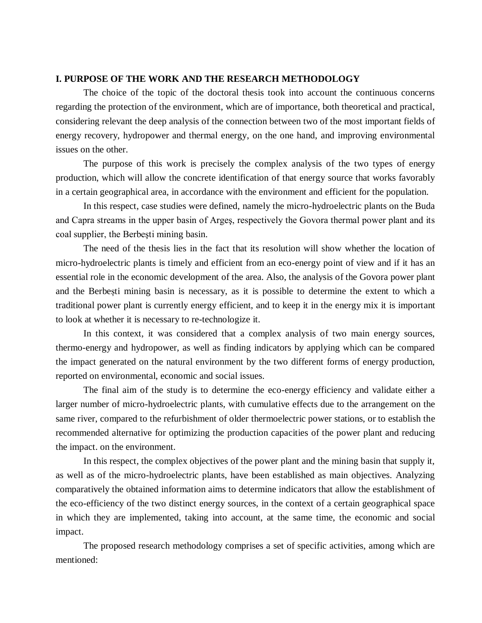### **I. PURPOSE OF THE WORK AND THE RESEARCH METHODOLOGY**

The choice of the topic of the doctoral thesis took into account the continuous concerns regarding the protection of the environment, which are of importance, both theoretical and practical, considering relevant the deep analysis of the connection between two of the most important fields of energy recovery, hydropower and thermal energy, on the one hand, and improving environmental issues on the other.

The purpose of this work is precisely the complex analysis of the two types of energy production, which will allow the concrete identification of that energy source that works favorably in a certain geographical area, in accordance with the environment and efficient for the population.

In this respect, case studies were defined, namely the micro-hydroelectric plants on the Buda and Capra streams in the upper basin of Argeş, respectively the Govora thermal power plant and its coal supplier, the Berbeşti mining basin.

The need of the thesis lies in the fact that its resolution will show whether the location of micro-hydroelectric plants is timely and efficient from an eco-energy point of view and if it has an essential role in the economic development of the area. Also, the analysis of the Govora power plant and the Berbești mining basin is necessary, as it is possible to determine the extent to which a traditional power plant is currently energy efficient, and to keep it in the energy mix it is important to look at whether it is necessary to re-technologize it.

In this context, it was considered that a complex analysis of two main energy sources, thermo-energy and hydropower, as well as finding indicators by applying which can be compared the impact generated on the natural environment by the two different forms of energy production, reported on environmental, economic and social issues.

The final aim of the study is to determine the eco-energy efficiency and validate either a larger number of micro-hydroelectric plants, with cumulative effects due to the arrangement on the same river, compared to the refurbishment of older thermoelectric power stations, or to establish the recommended alternative for optimizing the production capacities of the power plant and reducing the impact. on the environment.

In this respect, the complex objectives of the power plant and the mining basin that supply it, as well as of the micro-hydroelectric plants, have been established as main objectives. Analyzing comparatively the obtained information aims to determine indicators that allow the establishment of the eco-efficiency of the two distinct energy sources, in the context of a certain geographical space in which they are implemented, taking into account, at the same time, the economic and social impact.

The proposed research methodology comprises a set of specific activities, among which are mentioned: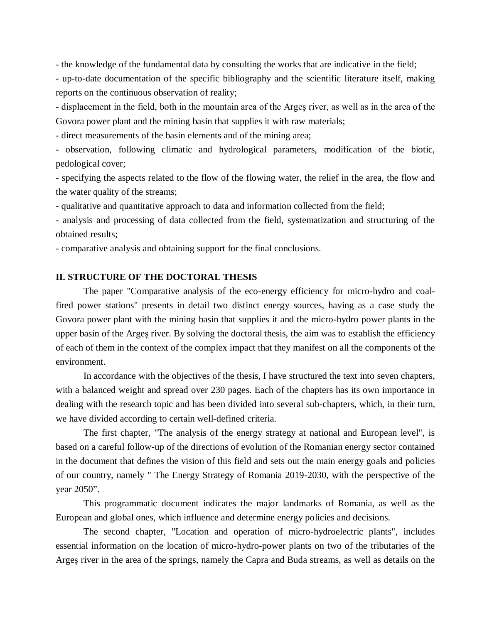- the knowledge of the fundamental data by consulting the works that are indicative in the field;

- up-to-date documentation of the specific bibliography and the scientific literature itself, making reports on the continuous observation of reality;

- displacement in the field, both in the mountain area of the Argeş river, as well as in the area of the Govora power plant and the mining basin that supplies it with raw materials;

- direct measurements of the basin elements and of the mining area;

- observation, following climatic and hydrological parameters, modification of the biotic, pedological cover;

- specifying the aspects related to the flow of the flowing water, the relief in the area, the flow and the water quality of the streams;

- qualitative and quantitative approach to data and information collected from the field;

- analysis and processing of data collected from the field, systematization and structuring of the obtained results;

- comparative analysis and obtaining support for the final conclusions.

### **II. STRUCTURE OF THE DOCTORAL THESIS**

The paper "Comparative analysis of the eco-energy efficiency for micro-hydro and coalfired power stations" presents in detail two distinct energy sources, having as a case study the Govora power plant with the mining basin that supplies it and the micro-hydro power plants in the upper basin of the Argeș river. By solving the doctoral thesis, the aim was to establish the efficiency of each of them in the context of the complex impact that they manifest on all the components of the environment.

In accordance with the objectives of the thesis, I have structured the text into seven chapters, with a balanced weight and spread over 230 pages. Each of the chapters has its own importance in dealing with the research topic and has been divided into several sub-chapters, which, in their turn, we have divided according to certain well-defined criteria.

The first chapter, "The analysis of the energy strategy at national and European level", is based on a careful follow-up of the directions of evolution of the Romanian energy sector contained in the document that defines the vision of this field and sets out the main energy goals and policies of our country, namely " The Energy Strategy of Romania 2019-2030, with the perspective of the year 2050".

This programmatic document indicates the major landmarks of Romania, as well as the European and global ones, which influence and determine energy policies and decisions.

The second chapter, "Location and operation of micro-hydroelectric plants", includes essential information on the location of micro-hydro-power plants on two of the tributaries of the Argeș river in the area of the springs, namely the Capra and Buda streams, as well as details on the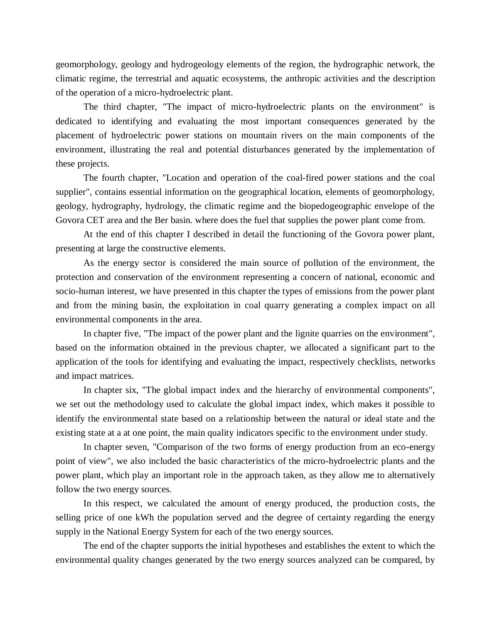geomorphology, geology and hydrogeology elements of the region, the hydrographic network, the climatic regime, the terrestrial and aquatic ecosystems, the anthropic activities and the description of the operation of a micro-hydroelectric plant.

The third chapter, "The impact of micro-hydroelectric plants on the environment" is dedicated to identifying and evaluating the most important consequences generated by the placement of hydroelectric power stations on mountain rivers on the main components of the environment, illustrating the real and potential disturbances generated by the implementation of these projects.

The fourth chapter, "Location and operation of the coal-fired power stations and the coal supplier", contains essential information on the geographical location, elements of geomorphology, geology, hydrography, hydrology, the climatic regime and the biopedogeographic envelope of the Govora CET area and the Ber basin. where does the fuel that supplies the power plant come from.

At the end of this chapter I described in detail the functioning of the Govora power plant, presenting at large the constructive elements.

As the energy sector is considered the main source of pollution of the environment, the protection and conservation of the environment representing a concern of national, economic and socio-human interest, we have presented in this chapter the types of emissions from the power plant and from the mining basin, the exploitation in coal quarry generating a complex impact on all environmental components in the area.

In chapter five, "The impact of the power plant and the lignite quarries on the environment", based on the information obtained in the previous chapter, we allocated a significant part to the application of the tools for identifying and evaluating the impact, respectively checklists, networks and impact matrices.

In chapter six, "The global impact index and the hierarchy of environmental components", we set out the methodology used to calculate the global impact index, which makes it possible to identify the environmental state based on a relationship between the natural or ideal state and the existing state at a at one point, the main quality indicators specific to the environment under study.

In chapter seven, "Comparison of the two forms of energy production from an eco-energy point of view", we also included the basic characteristics of the micro-hydroelectric plants and the power plant, which play an important role in the approach taken, as they allow me to alternatively follow the two energy sources.

In this respect, we calculated the amount of energy produced, the production costs, the selling price of one kWh the population served and the degree of certainty regarding the energy supply in the National Energy System for each of the two energy sources.

The end of the chapter supports the initial hypotheses and establishes the extent to which the environmental quality changes generated by the two energy sources analyzed can be compared, by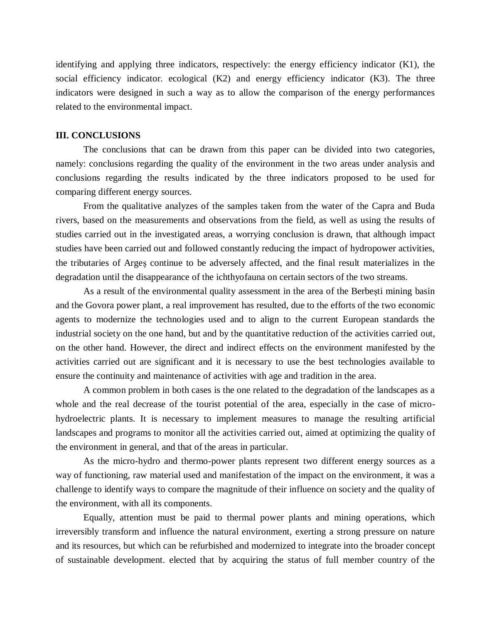identifying and applying three indicators, respectively: the energy efficiency indicator (K1), the social efficiency indicator. ecological (K2) and energy efficiency indicator (K3). The three indicators were designed in such a way as to allow the comparison of the energy performances related to the environmental impact.

### **III. CONCLUSIONS**

The conclusions that can be drawn from this paper can be divided into two categories, namely: conclusions regarding the quality of the environment in the two areas under analysis and conclusions regarding the results indicated by the three indicators proposed to be used for comparing different energy sources.

From the qualitative analyzes of the samples taken from the water of the Capra and Buda rivers, based on the measurements and observations from the field, as well as using the results of studies carried out in the investigated areas, a worrying conclusion is drawn, that although impact studies have been carried out and followed constantly reducing the impact of hydropower activities, the tributaries of Argeș continue to be adversely affected, and the final result materializes in the degradation until the disappearance of the ichthyofauna on certain sectors of the two streams.

As a result of the environmental quality assessment in the area of the Berbești mining basin and the Govora power plant, a real improvement has resulted, due to the efforts of the two economic agents to modernize the technologies used and to align to the current European standards the industrial society on the one hand, but and by the quantitative reduction of the activities carried out, on the other hand. However, the direct and indirect effects on the environment manifested by the activities carried out are significant and it is necessary to use the best technologies available to ensure the continuity and maintenance of activities with age and tradition in the area.

A common problem in both cases is the one related to the degradation of the landscapes as a whole and the real decrease of the tourist potential of the area, especially in the case of microhydroelectric plants. It is necessary to implement measures to manage the resulting artificial landscapes and programs to monitor all the activities carried out, aimed at optimizing the quality of the environment in general, and that of the areas in particular.

As the micro-hydro and thermo-power plants represent two different energy sources as a way of functioning, raw material used and manifestation of the impact on the environment, it was a challenge to identify ways to compare the magnitude of their influence on society and the quality of the environment, with all its components.

Equally, attention must be paid to thermal power plants and mining operations, which irreversibly transform and influence the natural environment, exerting a strong pressure on nature and its resources, but which can be refurbished and modernized to integrate into the broader concept of sustainable development. elected that by acquiring the status of full member country of the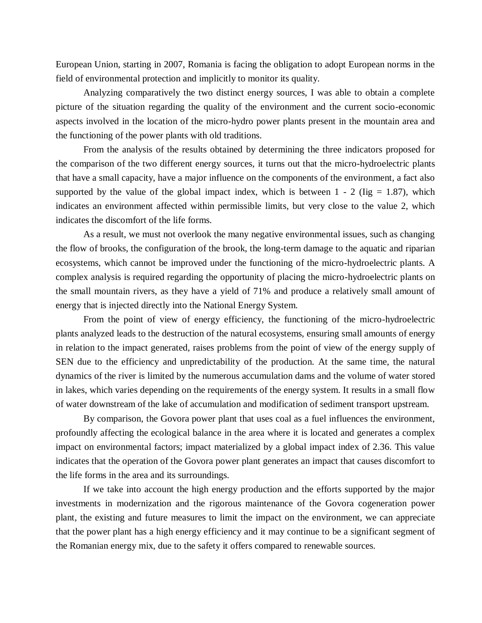European Union, starting in 2007, Romania is facing the obligation to adopt European norms in the field of environmental protection and implicitly to monitor its quality.

Analyzing comparatively the two distinct energy sources, I was able to obtain a complete picture of the situation regarding the quality of the environment and the current socio-economic aspects involved in the location of the micro-hydro power plants present in the mountain area and the functioning of the power plants with old traditions.

From the analysis of the results obtained by determining the three indicators proposed for the comparison of the two different energy sources, it turns out that the micro-hydroelectric plants that have a small capacity, have a major influence on the components of the environment, a fact also supported by the value of the global impact index, which is between  $1 - 2$  (Iig = 1.87), which indicates an environment affected within permissible limits, but very close to the value 2, which indicates the discomfort of the life forms.

As a result, we must not overlook the many negative environmental issues, such as changing the flow of brooks, the configuration of the brook, the long-term damage to the aquatic and riparian ecosystems, which cannot be improved under the functioning of the micro-hydroelectric plants. A complex analysis is required regarding the opportunity of placing the micro-hydroelectric plants on the small mountain rivers, as they have a yield of 71% and produce a relatively small amount of energy that is injected directly into the National Energy System.

From the point of view of energy efficiency, the functioning of the micro-hydroelectric plants analyzed leads to the destruction of the natural ecosystems, ensuring small amounts of energy in relation to the impact generated, raises problems from the point of view of the energy supply of SEN due to the efficiency and unpredictability of the production. At the same time, the natural dynamics of the river is limited by the numerous accumulation dams and the volume of water stored in lakes, which varies depending on the requirements of the energy system. It results in a small flow of water downstream of the lake of accumulation and modification of sediment transport upstream.

By comparison, the Govora power plant that uses coal as a fuel influences the environment, profoundly affecting the ecological balance in the area where it is located and generates a complex impact on environmental factors; impact materialized by a global impact index of 2.36. This value indicates that the operation of the Govora power plant generates an impact that causes discomfort to the life forms in the area and its surroundings.

If we take into account the high energy production and the efforts supported by the major investments in modernization and the rigorous maintenance of the Govora cogeneration power plant, the existing and future measures to limit the impact on the environment, we can appreciate that the power plant has a high energy efficiency and it may continue to be a significant segment of the Romanian energy mix, due to the safety it offers compared to renewable sources.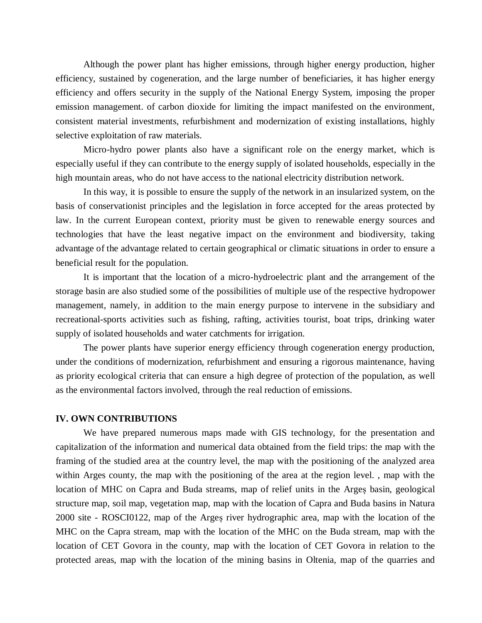Although the power plant has higher emissions, through higher energy production, higher efficiency, sustained by cogeneration, and the large number of beneficiaries, it has higher energy efficiency and offers security in the supply of the National Energy System, imposing the proper emission management. of carbon dioxide for limiting the impact manifested on the environment, consistent material investments, refurbishment and modernization of existing installations, highly selective exploitation of raw materials.

Micro-hydro power plants also have a significant role on the energy market, which is especially useful if they can contribute to the energy supply of isolated households, especially in the high mountain areas, who do not have access to the national electricity distribution network.

In this way, it is possible to ensure the supply of the network in an insularized system, on the basis of conservationist principles and the legislation in force accepted for the areas protected by law. In the current European context, priority must be given to renewable energy sources and technologies that have the least negative impact on the environment and biodiversity, taking advantage of the advantage related to certain geographical or climatic situations in order to ensure a beneficial result for the population.

It is important that the location of a micro-hydroelectric plant and the arrangement of the storage basin are also studied some of the possibilities of multiple use of the respective hydropower management, namely, in addition to the main energy purpose to intervene in the subsidiary and recreational-sports activities such as fishing, rafting, activities tourist, boat trips, drinking water supply of isolated households and water catchments for irrigation.

The power plants have superior energy efficiency through cogeneration energy production, under the conditions of modernization, refurbishment and ensuring a rigorous maintenance, having as priority ecological criteria that can ensure a high degree of protection of the population, as well as the environmental factors involved, through the real reduction of emissions.

#### **IV. OWN CONTRIBUTIONS**

We have prepared numerous maps made with GIS technology, for the presentation and capitalization of the information and numerical data obtained from the field trips: the map with the framing of the studied area at the country level, the map with the positioning of the analyzed area within Arges county, the map with the positioning of the area at the region level. , map with the location of MHC on Capra and Buda streams, map of relief units in the Argeș basin, geological structure map, soil map, vegetation map, map with the location of Capra and Buda basins in Natura 2000 site - ROSCI0122, map of the Argeș river hydrographic area, map with the location of the MHC on the Capra stream, map with the location of the MHC on the Buda stream, map with the location of CET Govora in the county, map with the location of CET Govora in relation to the protected areas, map with the location of the mining basins in Oltenia, map of the quarries and